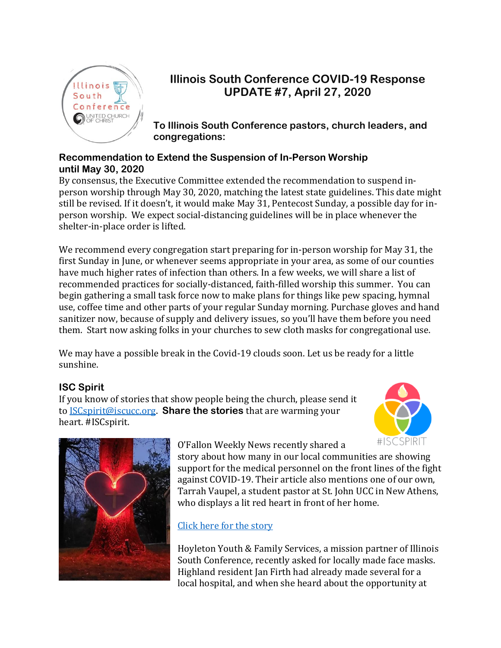

# **Illinois South Conference COVID-19 Response UPDATE #7, April 27, 2020**

**To Illinois South Conference pastors, church leaders, and congregations:**

#### **Recommendation to Extend the Suspension of In-Person Worship until May 30, 2020**

By consensus, the Executive Committee extended the recommendation to suspend inperson worship through May 30, 2020, matching the latest state guidelines. This date might still be revised. If it doesn't, it would make May 31, Pentecost Sunday, a possible day for inperson worship. We expect social-distancing guidelines will be in place whenever the shelter-in-place order is lifted.

We recommend every congregation start preparing for in-person worship for May 31, the first Sunday in June, or whenever seems appropriate in your area, as some of our counties have much higher rates of infection than others. In a few weeks, we will share a list of recommended practices for socially-distanced, faith-filled worship this summer. You can begin gathering a small task force now to make plans for things like pew spacing, hymnal use, coffee time and other parts of your regular Sunday morning. Purchase gloves and hand sanitizer now, because of supply and delivery issues, so you'll have them before you need them. Start now asking folks in your churches to sew cloth masks for congregational use.

We may have a possible break in the Covid-19 clouds soon. Let us be ready for a little sunshine.

### **ISC Spirit**

If you know of stories that show people being the church, please send it to [ISCspirit@iscucc.org.](mailto:ISCspirit@iscucc.org) **Share the stories** that are warming your heart. #ISCspirit.





### O'Fallon Weekly News recently shared a

story about how many in our local communities are showing support for the medical personnel on the front lines of the fight against COVID-19. Their article also mentions one of our own, Tarrah Vaupel, a student pastor at St. John UCC in New Athens, who displays a lit red heart in front of her home.

# [Click here for the story](https://www.ofallonweekly.com/community-residents-get-creative-to-share-support-during-pandemic/)

Hoyleton Youth & Family Services, a mission partner of Illinois South Conference, recently asked for locally made face masks. Highland resident Jan Firth had already made several for a local hospital, and when she heard about the opportunity at